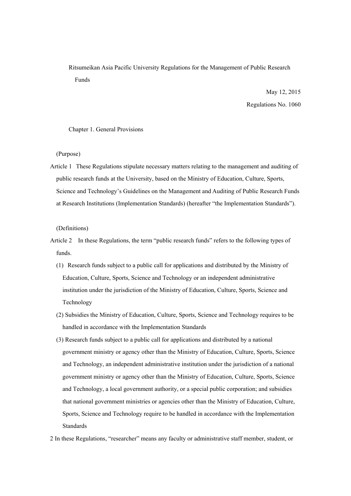Ritsumeikan Asia Pacific University Regulations for the Management of Public Research Funds

> May 12, 2015 Regulations No. 1060

### Chapter 1. General Provisions

(Purpose)

Article 1 These Regulations stipulate necessary matters relating to the management and auditing of public research funds at the University, based on the Ministry of Education, Culture, Sports, Science and Technology's Guidelines on the Management and Auditing of Public Research Funds at Research Institutions (Implementation Standards) (hereafter "the Implementation Standards").

(Definitions)

- Article 2 In these Regulations, the term "public research funds" refers to the following types of funds.
	- (1) Research funds subject to a public call for applications and distributed by the Ministry of Education, Culture, Sports, Science and Technology or an independent administrative institution under the jurisdiction of the Ministry of Education, Culture, Sports, Science and Technology
	- (2) Subsidies the Ministry of Education, Culture, Sports, Science and Technology requires to be handled in accordance with the Implementation Standards
	- (3) Research funds subject to a public call for applications and distributed by a national government ministry or agency other than the Ministry of Education, Culture, Sports, Science and Technology, an independent administrative institution under the jurisdiction of a national government ministry or agency other than the Ministry of Education, Culture, Sports, Science and Technology, a local government authority, or a special public corporation; and subsidies that national government ministries or agencies other than the Ministry of Education, Culture, Sports, Science and Technology require to be handled in accordance with the Implementation Standards
- 2 In these Regulations, "researcher" means any faculty or administrative staff member, student, or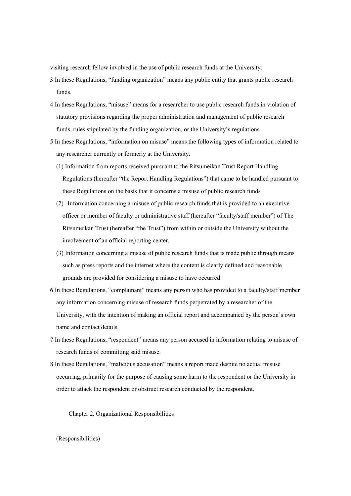visiting research fellow involved in the use of public research funds at the University.

- 3 In these Regulations, "funding organization" means any public entity that grants public research funds.
- 4 In these Regulations, "misuse" means for a researcher to use public research funds in violation of statutory provisions regarding the proper administration and management of public research funds, rules stipulated by the funding organization, or the University's regulations.
- 5 In these Regulations, "information on misuse" means the following types of information related to any researcher currently or formerly at the University.
	- (1) Information from reports received pursuant to the Ritsumeikan Trust Report Handling Regulations (hereafter "the Report Handling Regulations") that came to be handled pursuant to these Regulations on the basis that it concerns a misuse of public research funds
	- (2) Information concerning a misuse of public research funds that is provided to an executive officer or member of faculty or administrative staff (hereafter "faculty/staff member") of The Ritsumeikan Trust (hereafter "the Trust") from within or outside the University without the involvement of an official reporting center.
	- (3) Information concerning a misuse of public research funds that is made public through means such as press reports and the internet where the content is clearly defined and reasonable grounds are provided for considering a misuse to have occurred
- 6 In these Regulations, "complainant" means any person who has provided to a faculty/staff member any information concerning misuse of research funds perpetrated by a researcher of the University, with the intention of making an official report and accompanied by the person's own name and contact details.
- 7 In these Regulations, "respondent" means any person accused in information relating to misuse of research funds of committing said misuse.
- 8 In these Regulations, "malicious accusation" means a report made despite no actual misuse occurring, primarily for the purpose of causing some harm to the respondent or the University in order to attack the respondent or obstruct research conducted by the respondent.

Chapter 2. Organizational Responsibilities

(Responsibilities)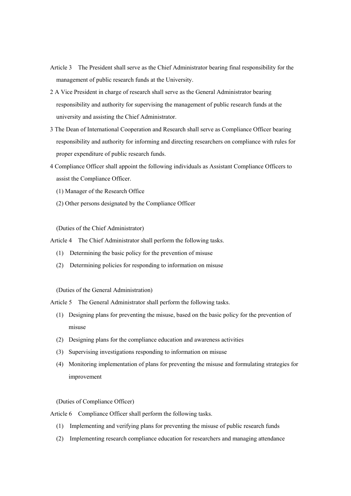- Article 3 The President shall serve as the Chief Administrator bearing final responsibility for the management of public research funds at the University.
- 2 A Vice President in charge of research shall serve as the General Administrator bearing responsibility and authority for supervising the management of public research funds at the university and assisting the Chief Administrator.
- 3 The Dean of International Cooperation and Research shall serve as Compliance Officer bearing responsibility and authority for informing and directing researchers on compliance with rules for proper expenditure of public research funds.
- 4 Compliance Officer shall appoint the following individuals as Assistant Compliance Officers to assist the Compliance Officer.
	- (1) Manager of the Research Office
	- (2) Other persons designated by the Compliance Officer

(Duties of the Chief Administrator)

Article 4 The Chief Administrator shall perform the following tasks.

- (1) Determining the basic policy for the prevention of misuse
- (2) Determining policies for responding to information on misuse

(Duties of the General Administration)

Article 5 The General Administrator shall perform the following tasks.

- (1) Designing plans for preventing the misuse, based on the basic policy for the prevention of misuse
- (2) Designing plans for the compliance education and awareness activities
- (3) Supervising investigations responding to information on misuse
- (4) Monitoring implementation of plans for preventing the misuse and formulating strategies for improvement

(Duties of Compliance Officer)

Article 6 Compliance Officer shall perform the following tasks.

- (1) Implementing and verifying plans for preventing the misuse of public research funds
- (2) Implementing research compliance education for researchers and managing attendance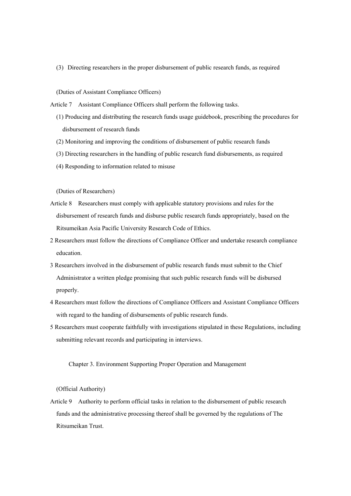(3) Directing researchers in the proper disbursement of public research funds, as required

(Duties of Assistant Compliance Officers)

Article 7 Assistant Compliance Officers shall perform the following tasks.

- (1) Producing and distributing the research funds usage guidebook, prescribing the procedures for disbursement of research funds
- (2) Monitoring and improving the conditions of disbursement of public research funds
- (3) Directing researchers in the handling of public research fund disbursements, as required
- (4) Responding to information related to misuse

(Duties of Researchers)

- Article 8 Researchers must comply with applicable statutory provisions and rules for the disbursement of research funds and disburse public research funds appropriately, based on the Ritsumeikan Asia Pacific University Research Code of Ethics.
- 2 Researchers must follow the directions of Compliance Officer and undertake research compliance education.
- 3 Researchers involved in the disbursement of public research funds must submit to the Chief Administrator a written pledge promising that such public research funds will be disbursed properly.
- 4 Researchers must follow the directions of Compliance Officers and Assistant Compliance Officers with regard to the handing of disbursements of public research funds.
- 5 Researchers must cooperate faithfully with investigations stipulated in these Regulations, including submitting relevant records and participating in interviews.

Chapter 3. Environment Supporting Proper Operation and Management

(Official Authority)

Article 9 Authority to perform official tasks in relation to the disbursement of public research funds and the administrative processing thereof shall be governed by the regulations of The Ritsumeikan Trust.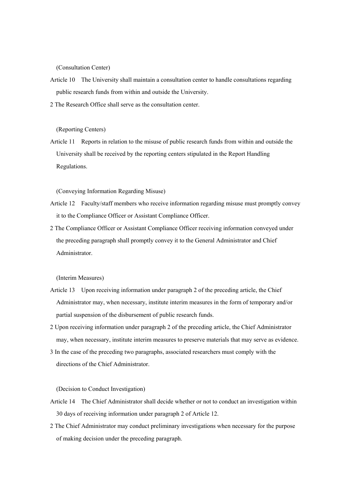(Consultation Center)

- Article 10 The University shall maintain a consultation center to handle consultations regarding public research funds from within and outside the University.
- 2 The Research Office shall serve as the consultation center.

(Reporting Centers)

Article 11 Reports in relation to the misuse of public research funds from within and outside the University shall be received by the reporting centers stipulated in the Report Handling Regulations.

(Conveying Information Regarding Misuse)

- Article 12 Faculty/staff members who receive information regarding misuse must promptly convey it to the Compliance Officer or Assistant Compliance Officer.
- 2 The Compliance Officer or Assistant Compliance Officer receiving information conveyed under the preceding paragraph shall promptly convey it to the General Administrator and Chief Administrator.

(Interim Measures)

- Article 13 Upon receiving information under paragraph 2 of the preceding article, the Chief Administrator may, when necessary, institute interim measures in the form of temporary and/or partial suspension of the disbursement of public research funds.
- 2 Upon receiving information under paragraph 2 of the preceding article, the Chief Administrator may, when necessary, institute interim measures to preserve materials that may serve as evidence.
- 3 In the case of the preceding two paragraphs, associated researchers must comply with the directions of the Chief Administrator.

(Decision to Conduct Investigation)

- Article 14 The Chief Administrator shall decide whether or not to conduct an investigation within 30 days of receiving information under paragraph 2 of Article 12.
- 2 The Chief Administrator may conduct preliminary investigations when necessary for the purpose of making decision under the preceding paragraph.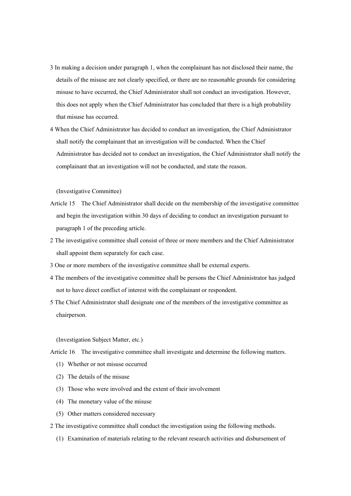- 3 In making a decision under paragraph 1, when the complainant has not disclosed their name, the details of the misuse are not clearly specified, or there are no reasonable grounds for considering misuse to have occurred, the Chief Administrator shall not conduct an investigation. However, this does not apply when the Chief Administrator has concluded that there is a high probability that misuse has occurred.
- 4 When the Chief Administrator has decided to conduct an investigation, the Chief Administrator shall notify the complainant that an investigation will be conducted. When the Chief Administrator has decided not to conduct an investigation, the Chief Administrator shall notify the complainant that an investigation will not be conducted, and state the reason.

(Investigative Committee)

- Article 15 The Chief Administrator shall decide on the membership of the investigative committee and begin the investigation within 30 days of deciding to conduct an investigation pursuant to paragraph 1 of the preceding article.
- 2 The investigative committee shall consist of three or more members and the Chief Administrator shall appoint them separately for each case.
- 3 One or more members of the investigative committee shall be external experts.
- 4 The members of the investigative committee shall be persons the Chief Administrator has judged not to have direct conflict of interest with the complainant or respondent.
- 5 The Chief Administrator shall designate one of the members of the investigative committee as chairperson.

(Investigation Subject Matter, etc.)

Article 16 The investigative committee shall investigate and determine the following matters.

- (1) Whether or not misuse occurred
- (2) The details of the misuse
- (3) Those who were involved and the extent of their involvement
- (4) The monetary value of the misuse
- (5) Other matters considered necessary
- 2 The investigative committee shall conduct the investigation using the following methods.
	- (1) Examination of materials relating to the relevant research activities and disbursement of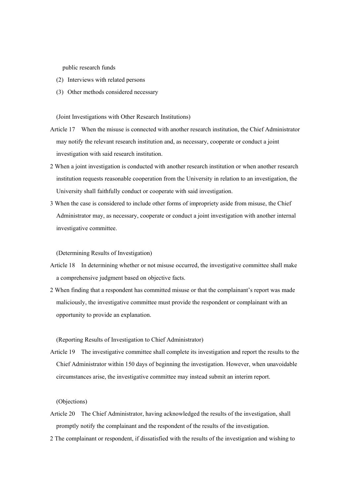public research funds

- (2) Interviews with related persons
- (3) Other methods considered necessary

(Joint Investigations with Other Research Institutions)

- Article 17 When the misuse is connected with another research institution, the Chief Administrator may notify the relevant research institution and, as necessary, cooperate or conduct a joint investigation with said research institution.
- 2 When a joint investigation is conducted with another research institution or when another research institution requests reasonable cooperation from the University in relation to an investigation, the University shall faithfully conduct or cooperate with said investigation.
- 3 When the case is considered to include other forms of impropriety aside from misuse, the Chief Administrator may, as necessary, cooperate or conduct a joint investigation with another internal investigative committee.

(Determining Results of Investigation)

- Article 18 In determining whether or not misuse occurred, the investigative committee shall make a comprehensive judgment based on objective facts.
- 2 When finding that a respondent has committed misuse or that the complainant's report was made maliciously, the investigative committee must provide the respondent or complainant with an opportunity to provide an explanation.

(Reporting Results of Investigation to Chief Administrator)

Article 19 The investigative committee shall complete its investigation and report the results to the Chief Administrator within 150 days of beginning the investigation. However, when unavoidable circumstances arise, the investigative committee may instead submit an interim report.

(Objections)

- Article 20 The Chief Administrator, having acknowledged the results of the investigation, shall promptly notify the complainant and the respondent of the results of the investigation.
- 2 The complainant or respondent, if dissatisfied with the results of the investigation and wishing to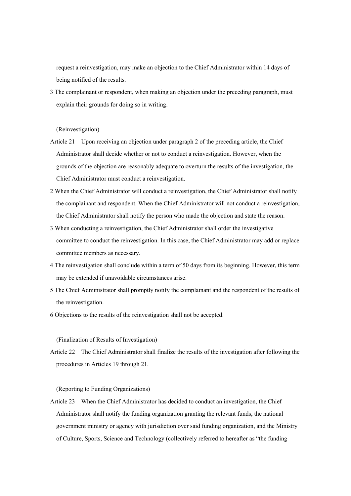request a reinvestigation, may make an objection to the Chief Administrator within 14 days of being notified of the results.

3 The complainant or respondent, when making an objection under the preceding paragraph, must explain their grounds for doing so in writing.

# (Reinvestigation)

- Article 21 Upon receiving an objection under paragraph 2 of the preceding article, the Chief Administrator shall decide whether or not to conduct a reinvestigation. However, when the grounds of the objection are reasonably adequate to overturn the results of the investigation, the Chief Administrator must conduct a reinvestigation.
- 2 When the Chief Administrator will conduct a reinvestigation, the Chief Administrator shall notify the complainant and respondent. When the Chief Administrator will not conduct a reinvestigation, the Chief Administrator shall notify the person who made the objection and state the reason.
- 3 When conducting a reinvestigation, the Chief Administrator shall order the investigative committee to conduct the reinvestigation. In this case, the Chief Administrator may add or replace committee members as necessary.
- 4 The reinvestigation shall conclude within a term of 50 days from its beginning. However, this term may be extended if unavoidable circumstances arise.
- 5 The Chief Administrator shall promptly notify the complainant and the respondent of the results of the reinvestigation.
- 6 Objections to the results of the reinvestigation shall not be accepted.

(Finalization of Results of Investigation)

Article 22 The Chief Administrator shall finalize the results of the investigation after following the procedures in Articles 19 through 21.

### (Reporting to Funding Organizations)

Article 23 When the Chief Administrator has decided to conduct an investigation, the Chief Administrator shall notify the funding organization granting the relevant funds, the national government ministry or agency with jurisdiction over said funding organization, and the Ministry of Culture, Sports, Science and Technology (collectively referred to hereafter as "the funding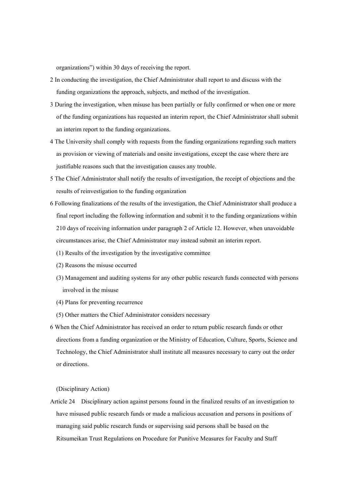organizations") within 30 days of receiving the report.

- 2 In conducting the investigation, the Chief Administrator shall report to and discuss with the funding organizations the approach, subjects, and method of the investigation.
- 3 During the investigation, when misuse has been partially or fully confirmed or when one or more of the funding organizations has requested an interim report, the Chief Administrator shall submit an interim report to the funding organizations.
- 4 The University shall comply with requests from the funding organizations regarding such matters as provision or viewing of materials and onsite investigations, except the case where there are justifiable reasons such that the investigation causes any trouble.
- 5 The Chief Administrator shall notify the results of investigation, the receipt of objections and the results of reinvestigation to the funding organization
- 6 Following finalizations of the results of the investigation, the Chief Administrator shall produce a final report including the following information and submit it to the funding organizations within 210 days of receiving information under paragraph 2 of Article 12. However, when unavoidable circumstances arise, the Chief Administrator may instead submit an interim report.
	- (1) Results of the investigation by the investigative committee
	- (2) Reasons the misuse occurred
	- (3) Management and auditing systems for any other public research funds connected with persons involved in the misuse
	- (4) Plans for preventing recurrence
	- (5) Other matters the Chief Administrator considers necessary
- 6 When the Chief Administrator has received an order to return public research funds or other directions from a funding organization or the Ministry of Education, Culture, Sports, Science and Technology, the Chief Administrator shall institute all measures necessary to carry out the order or directions.

(Disciplinary Action)

Article 24 Disciplinary action against persons found in the finalized results of an investigation to have misused public research funds or made a malicious accusation and persons in positions of managing said public research funds or supervising said persons shall be based on the Ritsumeikan Trust Regulations on Procedure for Punitive Measures for Faculty and Staff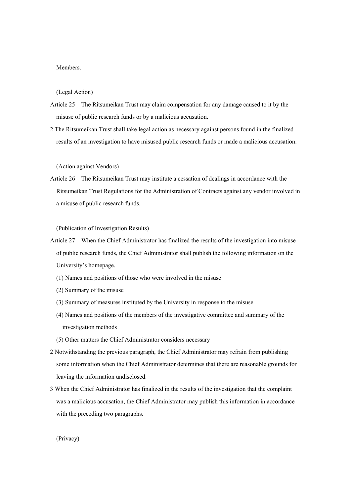# Members.

(Legal Action)

- Article 25 The Ritsumeikan Trust may claim compensation for any damage caused to it by the misuse of public research funds or by a malicious accusation.
- 2 The Ritsumeikan Trust shall take legal action as necessary against persons found in the finalized results of an investigation to have misused public research funds or made a malicious accusation.

(Action against Vendors)

Article 26 The Ritsumeikan Trust may institute a cessation of dealings in accordance with the Ritsumeikan Trust Regulations for the Administration of Contracts against any vendor involved in a misuse of public research funds.

(Publication of Investigation Results)

- Article 27 When the Chief Administrator has finalized the results of the investigation into misuse of public research funds, the Chief Administrator shall publish the following information on the University's homepage.
	- (1) Names and positions of those who were involved in the misuse
	- (2) Summary of the misuse
	- (3) Summary of measures instituted by the University in response to the misuse
	- (4) Names and positions of the members of the investigative committee and summary of the investigation methods
	- (5) Other matters the Chief Administrator considers necessary
- 2 Notwithstanding the previous paragraph, the Chief Administrator may refrain from publishing some information when the Chief Administrator determines that there are reasonable grounds for leaving the information undisclosed.
- 3 When the Chief Administrator has finalized in the results of the investigation that the complaint was a malicious accusation, the Chief Administrator may publish this information in accordance with the preceding two paragraphs.

(Privacy)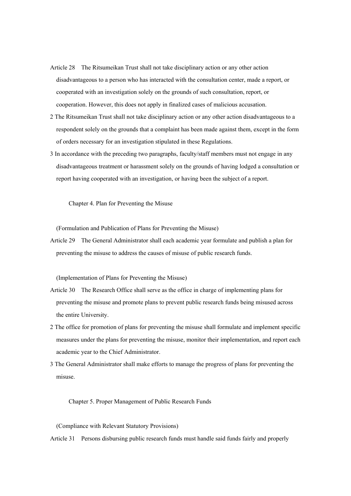- Article 28 The Ritsumeikan Trust shall not take disciplinary action or any other action disadvantageous to a person who has interacted with the consultation center, made a report, or cooperated with an investigation solely on the grounds of such consultation, report, or cooperation. However, this does not apply in finalized cases of malicious accusation.
- 2 The Ritsumeikan Trust shall not take disciplinary action or any other action disadvantageous to a respondent solely on the grounds that a complaint has been made against them, except in the form of orders necessary for an investigation stipulated in these Regulations.
- 3 In accordance with the preceding two paragraphs, faculty/staff members must not engage in any disadvantageous treatment or harassment solely on the grounds of having lodged a consultation or report having cooperated with an investigation, or having been the subject of a report.

Chapter 4. Plan for Preventing the Misuse

(Formulation and Publication of Plans for Preventing the Misuse)

Article 29 The General Administrator shall each academic year formulate and publish a plan for preventing the misuse to address the causes of misuse of public research funds.

(Implementation of Plans for Preventing the Misuse)

- Article 30 The Research Office shall serve as the office in charge of implementing plans for preventing the misuse and promote plans to prevent public research funds being misused across the entire University.
- 2 The office for promotion of plans for preventing the misuse shall formulate and implement specific measures under the plans for preventing the misuse, monitor their implementation, and report each academic year to the Chief Administrator.
- 3 The General Administrator shall make efforts to manage the progress of plans for preventing the misuse.

Chapter 5. Proper Management of Public Research Funds

(Compliance with Relevant Statutory Provisions)

Article 31 Persons disbursing public research funds must handle said funds fairly and properly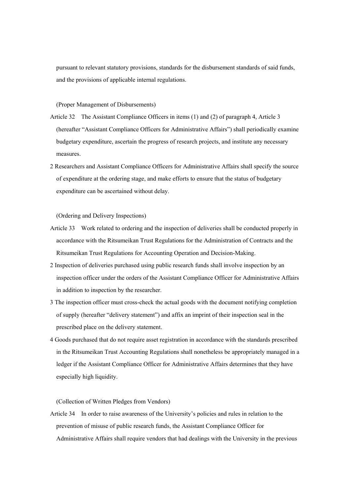pursuant to relevant statutory provisions, standards for the disbursement standards of said funds, and the provisions of applicable internal regulations.

(Proper Management of Disbursements)

- Article 32 The Assistant Compliance Officers in items (1) and (2) of paragraph 4, Article 3 (hereafter "Assistant Compliance Officers for Administrative Affairs") shall periodically examine budgetary expenditure, ascertain the progress of research projects, and institute any necessary measures.
- 2 Researchers and Assistant Compliance Officers for Administrative Affairs shall specify the source of expenditure at the ordering stage, and make efforts to ensure that the status of budgetary expenditure can be ascertained without delay.

(Ordering and Delivery Inspections)

- Article 33 Work related to ordering and the inspection of deliveries shall be conducted properly in accordance with the Ritsumeikan Trust Regulations for the Administration of Contracts and the Ritsumeikan Trust Regulations for Accounting Operation and Decision-Making.
- 2 Inspection of deliveries purchased using public research funds shall involve inspection by an inspection officer under the orders of the Assistant Compliance Officer for Administrative Affairs in addition to inspection by the researcher.
- 3 The inspection officer must cross-check the actual goods with the document notifying completion of supply (hereafter "delivery statement") and affix an imprint of their inspection seal in the prescribed place on the delivery statement.
- 4 Goods purchased that do not require asset registration in accordance with the standards prescribed in the Ritsumeikan Trust Accounting Regulations shall nonetheless be appropriately managed in a ledger if the Assistant Compliance Officer for Administrative Affairs determines that they have especially high liquidity.

(Collection of Written Pledges from Vendors)

Article 34 In order to raise awareness of the University's policies and rules in relation to the prevention of misuse of public research funds, the Assistant Compliance Officer for Administrative Affairs shall require vendors that had dealings with the University in the previous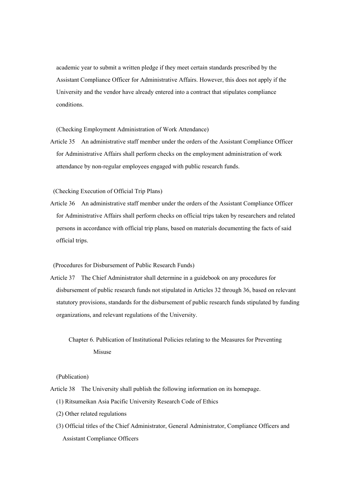academic year to submit a written pledge if they meet certain standards prescribed by the Assistant Compliance Officer for Administrative Affairs. However, this does not apply if the University and the vendor have already entered into a contract that stipulates compliance conditions.

(Checking Employment Administration of Work Attendance)

Article 35 An administrative staff member under the orders of the Assistant Compliance Officer for Administrative Affairs shall perform checks on the employment administration of work attendance by non-regular employees engaged with public research funds.

(Checking Execution of Official Trip Plans)

Article 36 An administrative staff member under the orders of the Assistant Compliance Officer for Administrative Affairs shall perform checks on official trips taken by researchers and related persons in accordance with official trip plans, based on materials documenting the facts of said official trips.

(Procedures for Disbursement of Public Research Funds)

Article 37 The Chief Administrator shall determine in a guidebook on any procedures for disbursement of public research funds not stipulated in Articles 32 through 36, based on relevant statutory provisions, standards for the disbursement of public research funds stipulated by funding organizations, and relevant regulations of the University.

Chapter 6. Publication of Institutional Policies relating to the Measures for Preventing Misuse

(Publication)

Article 38 The University shall publish the following information on its homepage.

- (1) Ritsumeikan Asia Pacific University Research Code of Ethics
- (2) Other related regulations
- (3) Official titles of the Chief Administrator, General Administrator, Compliance Officers and Assistant Compliance Officers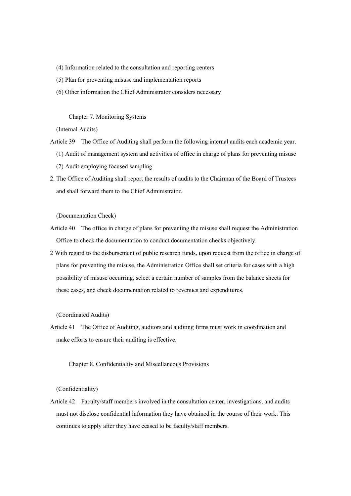- (4) Information related to the consultation and reporting centers
- (5) Plan for preventing misuse and implementation reports
- (6) Other information the Chief Administrator considers necessary

#### Chapter 7. Monitoring Systems

(Internal Audits)

- Article 39 The Office of Auditing shall perform the following internal audits each academic year.
	- (1) Audit of management system and activities of office in charge of plans for preventing misuse
	- (2) Audit employing focused sampling
- 2. The Office of Auditing shall report the results of audits to the Chairman of the Board of Trustees and shall forward them to the Chief Administrator.

(Documentation Check)

- Article 40 The office in charge of plans for preventing the misuse shall request the Administration Office to check the documentation to conduct documentation checks objectively.
- 2 With regard to the disbursement of public research funds, upon request from the office in charge of plans for preventing the misuse, the Administration Office shall set criteria for cases with a high possibility of misuse occurring, select a certain number of samples from the balance sheets for these cases, and check documentation related to revenues and expenditures.

(Coordinated Audits)

Article 41 The Office of Auditing, auditors and auditing firms must work in coordination and make efforts to ensure their auditing is effective.

# Chapter 8. Confidentiality and Miscellaneous Provisions

(Confidentiality)

Article 42 Faculty/staff members involved in the consultation center, investigations, and audits must not disclose confidential information they have obtained in the course of their work. This continues to apply after they have ceased to be faculty/staff members.